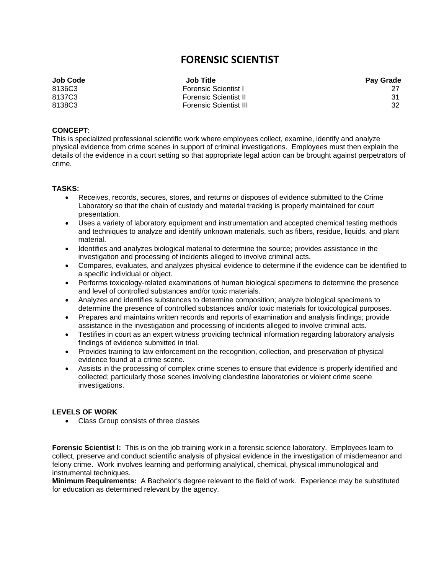## **FORENSIC SCIENTIST**

| <b>Job Code</b> | <b>Job Title</b>              | <b>Pay Grade</b> |
|-----------------|-------------------------------|------------------|
| 8136C3          | <b>Forensic Scientist I</b>   |                  |
| 8137C3          | <b>Forensic Scientist II</b>  |                  |
| 8138C3          | <b>Forensic Scientist III</b> | 32               |

## **CONCEPT**:

This is specialized professional scientific work where employees collect, examine, identify and analyze physical evidence from crime scenes in support of criminal investigations. Employees must then explain the details of the evidence in a court setting so that appropriate legal action can be brought against perpetrators of crime.

## **TASKS:**

- Receives, records, secures, stores, and returns or disposes of evidence submitted to the Crime Laboratory so that the chain of custody and material tracking is properly maintained for court presentation.
- Uses a variety of laboratory equipment and instrumentation and accepted chemical testing methods and techniques to analyze and identify unknown materials, such as fibers, residue, liquids, and plant material.
- Identifies and analyzes biological material to determine the source; provides assistance in the investigation and processing of incidents alleged to involve criminal acts.
- Compares, evaluates, and analyzes physical evidence to determine if the evidence can be identified to a specific individual or object.
- Performs toxicology-related examinations of human biological specimens to determine the presence and level of controlled substances and/or toxic materials.
- Analyzes and identifies substances to determine composition; analyze biological specimens to determine the presence of controlled substances and/or toxic materials for toxicological purposes.
- Prepares and maintains written records and reports of examination and analysis findings; provide assistance in the investigation and processing of incidents alleged to involve criminal acts.
- Testifies in court as an expert witness providing technical information regarding laboratory analysis findings of evidence submitted in trial.
- Provides training to law enforcement on the recognition, collection, and preservation of physical evidence found at a crime scene.
- Assists in the processing of complex crime scenes to ensure that evidence is properly identified and collected; particularly those scenes involving clandestine laboratories or violent crime scene investigations.

## **LEVELS OF WORK**

• Class Group consists of three classes

**Forensic Scientist I:** This is on the job training work in a forensic science laboratory. Employees learn to collect, preserve and conduct scientific analysis of physical evidence in the investigation of misdemeanor and felony crime. Work involves learning and performing analytical, chemical, physical immunological and instrumental techniques.

**Minimum Requirements:** A Bachelor's degree relevant to the field of work. Experience may be substituted for education as determined relevant by the agency.